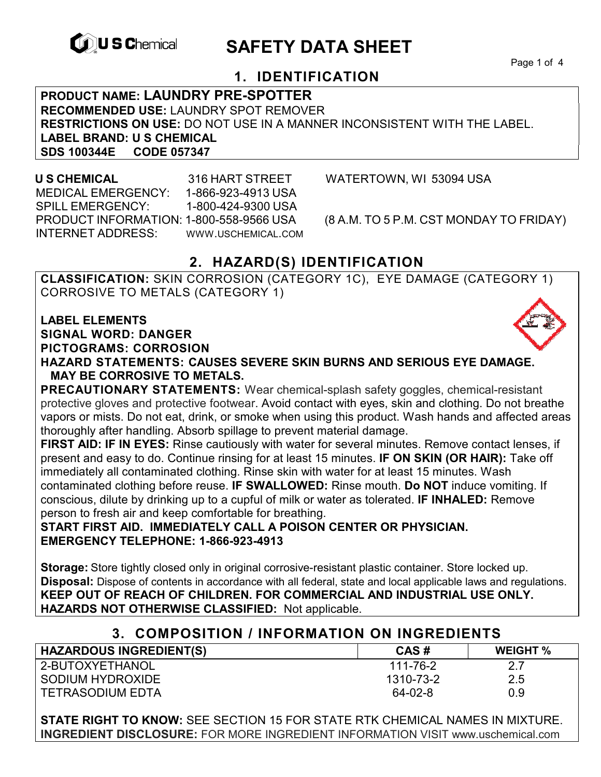

# **CONSCHEMICAL SAFETY DATA SHEET**

Page 1 of 4

## **1. IDENTIFICATION**

**PRODUCT NAME: LAUNDRY PRE-SPOTTER RECOMMENDED USE:** LAUNDRY SPOT REMOVER **RESTRICTIONS ON USE:** DO NOT USE IN A MANNER INCONSISTENT WITH THE LABEL. **LABEL BRAND: U S CHEMICAL SDS 100344E CODE 057347** 

 MEDICAL EMERGENCY: 1-866-923-4913 USA SPILL EMERGENCY: 1-800-424-9300 USA PRODUCT INFORMATION: 1-800-558-9566 USA (8 A.M. TO 5 P.M. CST MONDAY TO FRIDAY) INTERNET ADDRESS: WWW.USCHEMICAL.COM

**U S CHEMICAL** 316 HART STREET WATERTOWN, WI 53094 USA

## **2. HAZARD(S) IDENTIFICATION**

**CLASSIFICATION:** SKIN CORROSION (CATEGORY 1C), EYE DAMAGE (CATEGORY 1) CORROSIVE TO METALS (CATEGORY 1)

**LABEL ELEMENTS SIGNAL WORD: DANGER PICTOGRAMS: CORROSION**



**HAZARD STATEMENTS: CAUSES SEVERE SKIN BURNS AND SERIOUS EYE DAMAGE. MAY BE CORROSIVE TO METALS.** 

**PRECAUTIONARY STATEMENTS:** Wear chemical-splash safety goggles, chemical-resistant protective gloves and protective footwear. Avoid contact with eyes, skin and clothing. Do not breathe vapors or mists. Do not eat, drink, or smoke when using this product. Wash hands and affected areas thoroughly after handling. Absorb spillage to prevent material damage.

**FIRST AID: IF IN EYES:** Rinse cautiously with water for several minutes. Remove contact lenses, if present and easy to do. Continue rinsing for at least 15 minutes. **IF ON SKIN (OR HAIR):** Take off immediately all contaminated clothing. Rinse skin with water for at least 15 minutes. Wash contaminated clothing before reuse. **IF SWALLOWED:** Rinse mouth. **Do NOT** induce vomiting. If conscious, dilute by drinking up to a cupful of milk or water as tolerated. **IF INHALED:** Remove person to fresh air and keep comfortable for breathing.

**START FIRST AID. IMMEDIATELY CALL A POISON CENTER OR PHYSICIAN. EMERGENCY TELEPHONE: 1-866-923-4913** 

**Storage:** Store tightly closed only in original corrosive-resistant plastic container. Store locked up. **Disposal:** Dispose of contents in accordance with all federal, state and local applicable laws and regulations. **KEEP OUT OF REACH OF CHILDREN. FOR COMMERCIAL AND INDUSTRIAL USE ONLY. HAZARDS NOT OTHERWISE CLASSIFIED:** Not applicable.

## **3. COMPOSITION / INFORMATION ON INGREDIENTS**

| <b>HAZARDOUS INGREDIENT(S)</b> | CAS#      | <b>WEIGHT %</b> |
|--------------------------------|-----------|-----------------|
| 2-BUTOXYETHANOL                | 111-76-2  | 27              |
| SODIUM HYDROXIDE               | 1310-73-2 | 2.5             |
| <b>TETRASODIUM EDTA</b>        | 64-02-8   | 0.9             |

**STATE RIGHT TO KNOW:** SEE SECTION 15 FOR STATE RTK CHEMICAL NAMES IN MIXTURE. **INGREDIENT DISCLOSURE:** FOR MORE INGREDIENT INFORMATION VISIT www.uschemical.com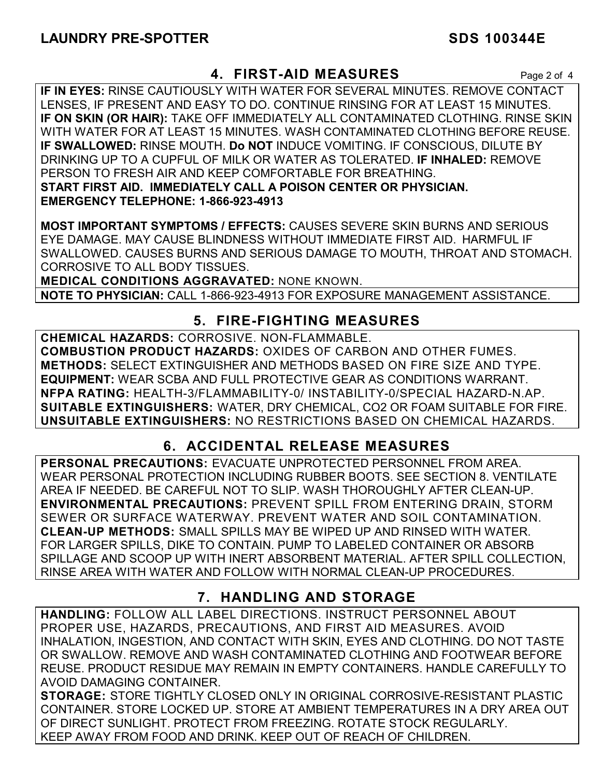## **4. FIRST-AID MEASURES** Page 2 of 4

**IF IN EYES:** RINSE CAUTIOUSLY WITH WATER FOR SEVERAL MINUTES. REMOVE CONTACT LENSES, IF PRESENT AND EASY TO DO. CONTINUE RINSING FOR AT LEAST 15 MINUTES. **IF ON SKIN (OR HAIR):** TAKE OFF IMMEDIATELY ALL CONTAMINATED CLOTHING. RINSE SKIN WITH WATER FOR AT LEAST 15 MINUTES. WASH CONTAMINATED CLOTHING BEFORE REUSE. **IF SWALLOWED:** RINSE MOUTH. **Do NOT** INDUCE VOMITING. IF CONSCIOUS, DILUTE BY DRINKING UP TO A CUPFUL OF MILK OR WATER AS TOLERATED. **IF INHALED:** REMOVE PERSON TO FRESH AIR AND KEEP COMFORTABLE FOR BREATHING. **START FIRST AID. IMMEDIATELY CALL A POISON CENTER OR PHYSICIAN. EMERGENCY TELEPHONE: 1-866-923-4913**

**MOST IMPORTANT SYMPTOMS / EFFECTS:** CAUSES SEVERE SKIN BURNS AND SERIOUS EYE DAMAGE. MAY CAUSE BLINDNESS WITHOUT IMMEDIATE FIRST AID. HARMFUL IF SWALLOWED. CAUSES BURNS AND SERIOUS DAMAGE TO MOUTH, THROAT AND STOMACH. CORROSIVE TO ALL BODY TISSUES.

**MEDICAL CONDITIONS AGGRAVATED:** NONE KNOWN.

**NOTE TO PHYSICIAN:** CALL 1-866-923-4913 FOR EXPOSURE MANAGEMENT ASSISTANCE.

## **5. FIRE-FIGHTING MEASURES**

**CHEMICAL HAZARDS:** CORROSIVE. NON-FLAMMABLE. **COMBUSTION PRODUCT HAZARDS:** OXIDES OF CARBON AND OTHER FUMES. **METHODS:** SELECT EXTINGUISHER AND METHODS BASED ON FIRE SIZE AND TYPE. **EQUIPMENT:** WEAR SCBA AND FULL PROTECTIVE GEAR AS CONDITIONS WARRANT. **NFPA RATING:** HEALTH-3/FLAMMABILITY-0/ INSTABILITY-0/SPECIAL HAZARD-N.AP. **SUITABLE EXTINGUISHERS:** WATER, DRY CHEMICAL, CO2 OR FOAM SUITABLE FOR FIRE. **UNSUITABLE EXTINGUISHERS:** NO RESTRICTIONS BASED ON CHEMICAL HAZARDS.

## **6. ACCIDENTAL RELEASE MEASURES**

**PERSONAL PRECAUTIONS:** EVACUATE UNPROTECTED PERSONNEL FROM AREA. WEAR PERSONAL PROTECTION INCLUDING RUBBER BOOTS. SEE SECTION 8. VENTILATE AREA IF NEEDED. BE CAREFUL NOT TO SLIP. WASH THOROUGHLY AFTER CLEAN-UP. **ENVIRONMENTAL PRECAUTIONS:** PREVENT SPILL FROM ENTERING DRAIN, STORM SEWER OR SURFACE WATERWAY. PREVENT WATER AND SOIL CONTAMINATION. **CLEAN-UP METHODS:** SMALL SPILLS MAY BE WIPED UP AND RINSED WITH WATER. FOR LARGER SPILLS, DIKE TO CONTAIN. PUMP TO LABELED CONTAINER OR ABSORB SPILLAGE AND SCOOP UP WITH INERT ABSORBENT MATERIAL. AFTER SPILL COLLECTION, RINSE AREA WITH WATER AND FOLLOW WITH NORMAL CLEAN-UP PROCEDURES.

## **7. HANDLING AND STORAGE**

**HANDLING:** FOLLOW ALL LABEL DIRECTIONS. INSTRUCT PERSONNEL ABOUT PROPER USE, HAZARDS, PRECAUTIONS, AND FIRST AID MEASURES. AVOID INHALATION, INGESTION, AND CONTACT WITH SKIN, EYES AND CLOTHING. DO NOT TASTE OR SWALLOW. REMOVE AND WASH CONTAMINATED CLOTHING AND FOOTWEAR BEFORE REUSE. PRODUCT RESIDUE MAY REMAIN IN EMPTY CONTAINERS. HANDLE CAREFULLY TO AVOID DAMAGING CONTAINER.

**STORAGE:** STORE TIGHTLY CLOSED ONLY IN ORIGINAL CORROSIVE-RESISTANT PLASTIC CONTAINER. STORE LOCKED UP. STORE AT AMBIENT TEMPERATURES IN A DRY AREA OUT OF DIRECT SUNLIGHT. PROTECT FROM FREEZING. ROTATE STOCK REGULARLY. KEEP AWAY FROM FOOD AND DRINK. KEEP OUT OF REACH OF CHILDREN.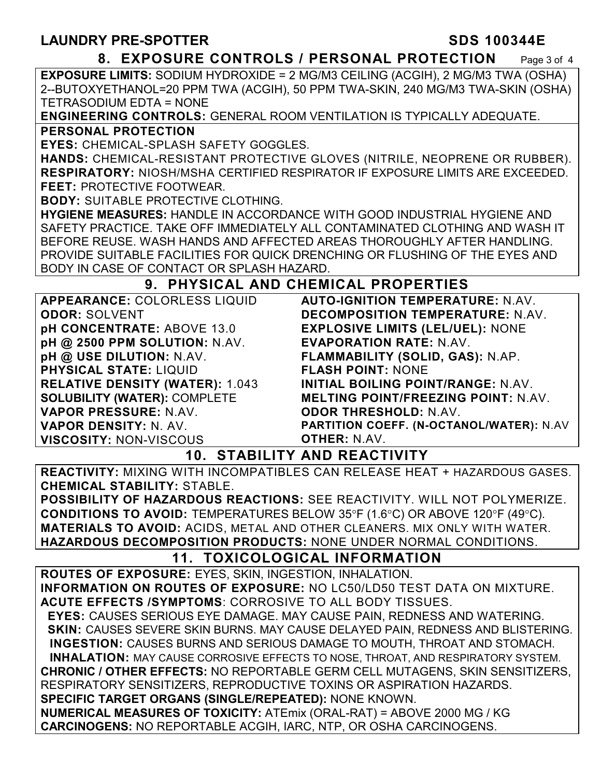### **8. EXPOSURE CONTROLS / PERSONAL PROTECTION** Page 3 of 4

**EXPOSURE LIMITS:** SODIUM HYDROXIDE = 2 MG/M3 CEILING (ACGIH), 2 MG/M3 TWA (OSHA) 2--BUTOXYETHANOL=20 PPM TWA (ACGIH), 50 PPM TWA-SKIN, 240 MG/M3 TWA-SKIN (OSHA) TETRASODIUM EDTA = NONE

**ENGINEERING CONTROLS:** GENERAL ROOM VENTILATION IS TYPICALLY ADEQUATE.

### **PERSONAL PROTECTION**

**EYES:** CHEMICAL-SPLASH SAFETY GOGGLES.

**HANDS:** CHEMICAL-RESISTANT PROTECTIVE GLOVES (NITRILE, NEOPRENE OR RUBBER). **RESPIRATORY:** NIOSH/MSHA CERTIFIED RESPIRATOR IF EXPOSURE LIMITS ARE EXCEEDED. **FEET:** PROTECTIVE FOOTWEAR.

**BODY:** SUITABLE PROTECTIVE CLOTHING.

**HYGIENE MEASURES:** HANDLE IN ACCORDANCE WITH GOOD INDUSTRIAL HYGIENE AND SAFETY PRACTICE. TAKE OFF IMMEDIATELY ALL CONTAMINATED CLOTHING AND WASH IT BEFORE REUSE. WASH HANDS AND AFFECTED AREAS THOROUGHLY AFTER HANDLING. PROVIDE SUITABLE FACILITIES FOR QUICK DRENCHING OR FLUSHING OF THE EYES AND BODY IN CASE OF CONTACT OR SPLASH HAZARD.

## **9. PHYSICAL AND CHEMICAL PROPERTIES**

| <b>APPEARANCE: COLORLESS LIQUID</b>    | <b>AUTO-IGN</b>  |
|----------------------------------------|------------------|
| <b>ODOR: SOLVENT</b>                   | <b>DECOMP</b>    |
| pH CONCENTRATE: ABOVE 13.0             | <b>EXPLOSIV</b>  |
| pH @ 2500 PPM SOLUTION: N.AV.          | <b>EVAPORA</b>   |
| pH @ USE DILUTION: N.AV.               | <b>FLAMMAE</b>   |
| <b>PHYSICAL STATE: LIQUID</b>          | <b>FLASH PO</b>  |
| <b>RELATIVE DENSITY (WATER): 1.043</b> | <b>INITIAL B</b> |
| <b>SOLUBILITY (WATER): COMPLETE</b>    | <b>MELTING</b>   |
| VAPOR PRESSURE: N.AV.                  | <b>ODOR TH</b>   |
| <b>VAPOR DENSITY: N. AV.</b>           | <b>PARTITION</b> |
| <b>VISCOSITY: NON-VISCOUS</b>          | <b>OTHER: N</b>  |

**AUTION TEMPERATURE: N.AV. DECOMPOSITION TEMPERATURE:** N.AV. **VE LIMITS (LEL/UEL): NONE EVAPORATION RATE:** N.AV. **FLAMMABILITY (SOLID, GAS):** N.AP. **FLASH POINT:** NONE *OILING POINT/RANGE: N.AV.* **MELTING POINT/FREEZING POINT:** N.AV. **RESHOLD:** N.AV. **P COEFF. (N-OCTANOL/WATER): N.AV J**.AV.

## **10. STABILITY AND REACTIVITY**

**REACTIVITY:** MIXING WITH INCOMPATIBLES CAN RELEASE HEAT + HAZARDOUS GASES. **CHEMICAL STABILITY:** STABLE.

**POSSIBILITY OF HAZARDOUS REACTIONS:** SEE REACTIVITY. WILL NOT POLYMERIZE. **CONDITIONS TO AVOID:** TEMPERATURES BELOW 35°F (1.6°C) OR ABOVE 120°F (49°C). **MATERIALS TO AVOID:** ACIDS, METAL AND OTHER CLEANERS. MIX ONLY WITH WATER. **HAZARDOUS DECOMPOSITION PRODUCTS:** NONE UNDER NORMAL CONDITIONS.

## **11. TOXICOLOGICAL INFORMATION**

**ROUTES OF EXPOSURE:** EYES, SKIN, INGESTION, INHALATION. **INFORMATION ON ROUTES OF EXPOSURE:** NO LC50/LD50 TEST DATA ON MIXTURE. **ACUTE EFFECTS /SYMPTOMS**: CORROSIVE TO ALL BODY TISSUES.  **EYES:** CAUSES SERIOUS EYE DAMAGE. MAY CAUSE PAIN, REDNESS AND WATERING.  **SKIN:** CAUSES SEVERE SKIN BURNS. MAY CAUSE DELAYED PAIN, REDNESS AND BLISTERING. **INGESTION:** CAUSES BURNS AND SERIOUS DAMAGE TO MOUTH, THROAT AND STOMACH. **INHALATION:** MAY CAUSE CORROSIVE EFFECTS TO NOSE, THROAT, AND RESPIRATORY SYSTEM. **CHRONIC / OTHER EFFECTS:** NO REPORTABLE GERM CELL MUTAGENS, SKIN SENSITIZERS, RESPIRATORY SENSITIZERS, REPRODUCTIVE TOXINS OR ASPIRATION HAZARDS. **SPECIFIC TARGET ORGANS (SINGLE/REPEATED):** NONE KNOWN. **NUMERICAL MEASURES OF TOXICITY:** ATEmix (ORAL-RAT) = ABOVE 2000 MG / KG **CARCINOGENS:** NO REPORTABLE ACGIH, IARC, NTP, OR OSHA CARCINOGENS.